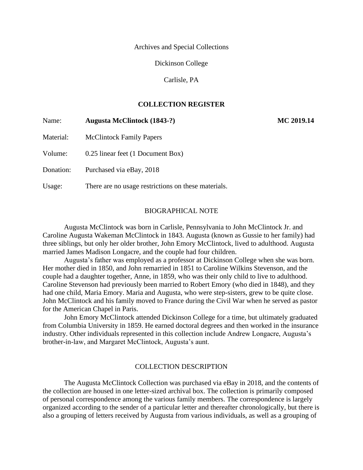Archives and Special Collections

Dickinson College

Carlisle, PA

# **COLLECTION REGISTER**

| Name:     | <b>Augusta McClintock (1843-?)</b>                  | MC 2019.14 |
|-----------|-----------------------------------------------------|------------|
| Material: | <b>McClintock Family Papers</b>                     |            |
| Volume:   | 0.25 linear feet (1 Document Box)                   |            |
| Donation: | Purchased via eBay, 2018                            |            |
| Usage:    | There are no usage restrictions on these materials. |            |

#### BIOGRAPHICAL NOTE

Augusta McClintock was born in Carlisle, Pennsylvania to John McClintock Jr. and Caroline Augusta Wakeman McClintock in 1843. Augusta (known as Gussie to her family) had three siblings, but only her older brother, John Emory McClintock, lived to adulthood. Augusta married James Madison Longacre, and the couple had four children.

Augusta's father was employed as a professor at Dickinson College when she was born. Her mother died in 1850, and John remarried in 1851 to Caroline Wilkins Stevenson, and the couple had a daughter together, Anne, in 1859, who was their only child to live to adulthood. Caroline Stevenson had previously been married to Robert Emory (who died in 1848), and they had one child, Maria Emory. Maria and Augusta, who were step-sisters, grew to be quite close. John McClintock and his family moved to France during the Civil War when he served as pastor for the American Chapel in Paris.

John Emory McClintock attended Dickinson College for a time, but ultimately graduated from Columbia University in 1859. He earned doctoral degrees and then worked in the insurance industry. Other individuals represented in this collection include Andrew Longacre, Augusta's brother-in-law, and Margaret McClintock, Augusta's aunt.

#### COLLECTION DESCRIPTION

The Augusta McClintock Collection was purchased via eBay in 2018, and the contents of the collection are housed in one letter-sized archival box. The collection is primarily composed of personal correspondence among the various family members. The correspondence is largely organized according to the sender of a particular letter and thereafter chronologically, but there is also a grouping of letters received by Augusta from various individuals, as well as a grouping of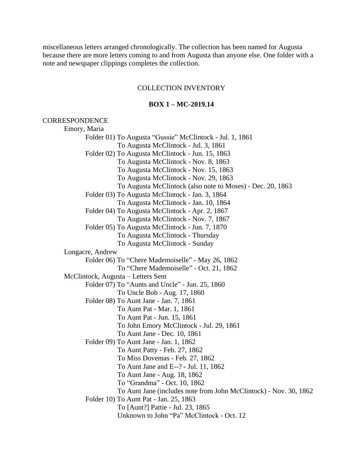miscellaneous letters arranged chronologically. The collection has been named for Augusta because there are more letters coming to and from Augusta than anyone else. One folder with a note and newspaper clippings completes the collection.

#### COLLECTION INVENTORY

## **BOX 1 – MC-2019.14**

#### **CORRESPONDENCE**

Emory, Maria Folder 01) To Augusta "Gussie" McClintock - Jul. 1, 1861 To Augusta McClintock - Jul. 3, 1861 Folder 02) To Augusta McClintock - Jun. 15, 1863 To Augusta McClintock - Nov. 8, 1863 To Augusta McClintock - Nov. 15, 1863 To Augusta McClintock - Nov. 29, 1863 To Augusta McClintock (also note to Moses) - Dec. 20, 1863 Folder 03) To Augusta McClintock - Jan. 3, 1864 To Augusta McClintock - Jan. 10, 1864 Folder 04) To Augusta McClintock - Apr. 2, 1867 To Augusta McClintock - Nov. 7, 1867 Folder 05) To Augusta McClintock - Jun. 7, 1870 To Augusta McClintock - Thursday To Augusta McClintock - Sunday Longacre, Andrew Folder 06) To "Chere Mademoiselle" - May 26, 1862 To "Chere Mademoiselle" - Oct. 21, 1862 McClintock, Augusta – Letters Sent Folder 07) To "Aunts and Uncle" - Jun. 25, 1860 To Uncle Bob - Aug. 17, 1860 Folder 08) To Aunt Jane - Jan. 7, 1861 To Aunt Pat - Mar. 1, 1861 To Aunt Pat - Jun. 15, 1861 To John Emory McClintock - Jul. 29, 1861 To Aunt Jane - Dec. 10, 1861 Folder 09) To Aunt Jane - Jan. 1, 1862 To Aunt Patty - Feb. 27, 1862 To Miss Dovemas - Feb. 27, 1862 To Aunt Jane and E--? - Jul. 11, 1862 To Aunt Jane - Aug. 18, 1862 To "Grandma" - Oct. 10, 1862 To Aunt Jane (includes note from John McClintock) - Nov. 30, 1862 Folder 10) To Aunt Pat - Jan. 25, 1863 To [Aunt?] Pattie - Jul. 23, 1865 Unknown to John "Pa" McClintock - Oct. 12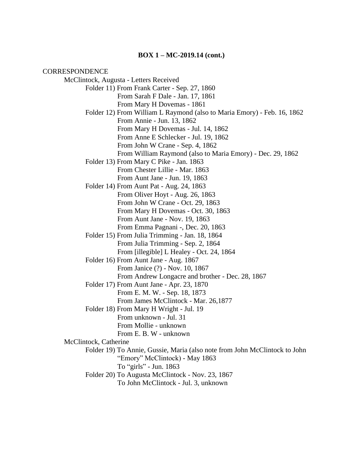#### **BOX 1 – MC-2019.14 (cont.)**

**CORRESPONDENCE** McClintock, Augusta - Letters Received Folder 11) From Frank Carter - Sep. 27, 1860 From Sarah F Dale - Jan. 17, 1861 From Mary H Dovemas - 1861 Folder 12) From William L Raymond (also to Maria Emory) - Feb. 16, 1862 From Annie - Jun. 13, 1862 From Mary H Dovemas - Jul. 14, 1862 From Anne E Schlecker - Jul. 19, 1862 From John W Crane - Sep. 4, 1862 From William Raymond (also to Maria Emory) - Dec. 29, 1862 Folder 13) From Mary C Pike - Jan. 1863 From Chester Lillie - Mar. 1863 From Aunt Jane - Jun. 19, 1863 Folder 14) From Aunt Pat - Aug. 24, 1863 From Oliver Hoyt - Aug. 26, 1863 From John W Crane - Oct. 29, 1863 From Mary H Dovemas - Oct. 30, 1863 From Aunt Jane - Nov. 19, 1863 From Emma Pagnani -, Dec. 20, 1863 Folder 15) From Julia Trimming - Jan. 18, 1864 From Julia Trimming - Sep. 2, 1864 From [illegible] L Healey - Oct. 24, 1864 Folder 16) From Aunt Jane - Aug. 1867 From Janice (?) - Nov. 10, 1867 From Andrew Longacre and brother - Dec. 28, 1867 Folder 17) From Aunt Jane - Apr. 23, 1870 From E. M. W. - Sep. 18, 1873 From James McClintock - Mar. 26,1877 Folder 18) From Mary H Wright - Jul. 19 From unknown - Jul. 31 From Mollie - unknown From E. B. W - unknown McClintock, Catherine Folder 19) To Annie, Gussie, Maria (also note from John McClintock to John "Emory" McClintock) - May 1863 To "girls" - Jun. 1863 Folder 20) To Augusta McClintock - Nov. 23, 1867 To John McClintock - Jul. 3, unknown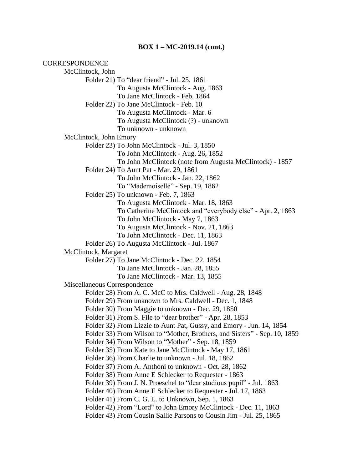#### **BOX 1 – MC-2019.14 (cont.)**

**CORRESPONDENCE** McClintock, John Folder 21) To "dear friend" - Jul. 25, 1861 To Augusta McClintock - Aug. 1863 To Jane McClintock - Feb. 1864 Folder 22) To Jane McClintock - Feb. 10 To Augusta McClintock - Mar. 6 To Augusta McClintock (?) - unknown To unknown - unknown McClintock, John Emory Folder 23) To John McClintock - Jul. 3, 1850 To John McClintock - Aug. 26, 1852 To John McClintock (note from Augusta McClintock) - 1857 Folder 24) To Aunt Pat - Mar. 29, 1861 To John McClintock - Jan. 22, 1862 To "Mademoiselle" - Sep. 19, 1862 Folder 25) To unknown - Feb. 7, 1863 To Augusta McClintock - Mar. 18, 1863 To Catherine McClintock and "everybody else" - Apr. 2, 1863 To John McClintock - May 7, 1863 To Augusta McClintock - Nov. 21, 1863 To John McClintock - Dec. 11, 1863 Folder 26) To Augusta McClintock - Jul. 1867 McClintock, Margaret Folder 27) To Jane McClintock - Dec. 22, 1854 To Jane McClintock - Jan. 28, 1855 To Jane McClintock - Mar. 13, 1855 Miscellaneous Correspondence Folder 28) From A. C. McC to Mrs. Caldwell - Aug. 28, 1848 Folder 29) From unknown to Mrs. Caldwell - Dec. 1, 1848 Folder 30) From Maggie to unknown - Dec. 29, 1850 Folder 31) From S. File to "dear brother" - Apr. 28, 1853 Folder 32) From Lizzie to Aunt Pat, Gussy, and Emory - Jun. 14, 1854 Folder 33) From Wilson to "Mother, Brothers, and Sisters" - Sep. 10, 1859 Folder 34) From Wilson to "Mother" - Sep. 18, 1859 Folder 35) From Kate to Jane McClintock - May 17, 1861 Folder 36) From Charlie to unknown - Jul. 18, 1862 Folder 37) From A. Anthoni to unknown - Oct. 28, 1862 Folder 38) From Anne E Schlecker to Requester - 1863 Folder 39) From J. N. Proeschel to "dear studious pupil" - Jul. 1863 Folder 40) From Anne E Schlecker to Requester - Jul. 17, 1863 Folder 41) From C. G. L. to Unknown, Sep. 1, 1863 Folder 42) From "Lord" to John Emory McClintock - Dec. 11, 1863 Folder 43) From Cousin Sallie Parsons to Cousin Jim - Jul. 25, 1865